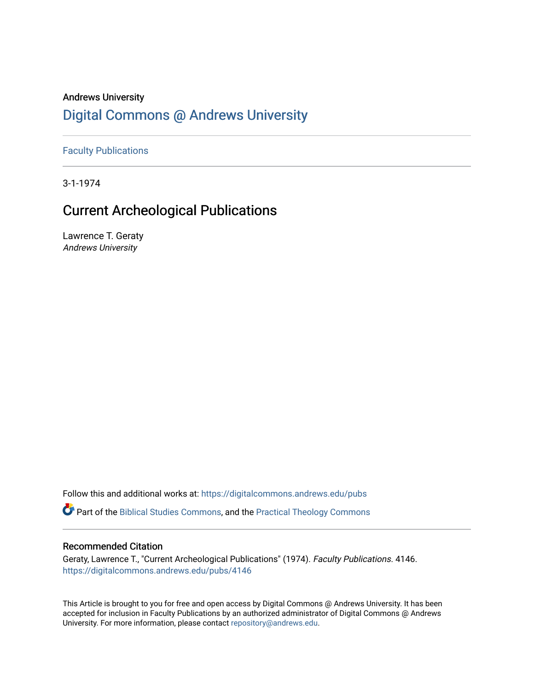# Andrews University [Digital Commons @ Andrews University](https://digitalcommons.andrews.edu/)

[Faculty Publications](https://digitalcommons.andrews.edu/pubs)

3-1-1974

# Current Archeological Publications

Lawrence T. Geraty Andrews University

Follow this and additional works at: [https://digitalcommons.andrews.edu/pubs](https://digitalcommons.andrews.edu/pubs?utm_source=digitalcommons.andrews.edu%2Fpubs%2F4146&utm_medium=PDF&utm_campaign=PDFCoverPages) 

Part of the [Biblical Studies Commons,](http://network.bepress.com/hgg/discipline/539?utm_source=digitalcommons.andrews.edu%2Fpubs%2F4146&utm_medium=PDF&utm_campaign=PDFCoverPages) and the [Practical Theology Commons](http://network.bepress.com/hgg/discipline/1186?utm_source=digitalcommons.andrews.edu%2Fpubs%2F4146&utm_medium=PDF&utm_campaign=PDFCoverPages) 

# Recommended Citation

Geraty, Lawrence T., "Current Archeological Publications" (1974). Faculty Publications. 4146. [https://digitalcommons.andrews.edu/pubs/4146](https://digitalcommons.andrews.edu/pubs/4146?utm_source=digitalcommons.andrews.edu%2Fpubs%2F4146&utm_medium=PDF&utm_campaign=PDFCoverPages) 

This Article is brought to you for free and open access by Digital Commons @ Andrews University. It has been accepted for inclusion in Faculty Publications by an authorized administrator of Digital Commons @ Andrews University. For more information, please contact [repository@andrews.edu](mailto:repository@andrews.edu).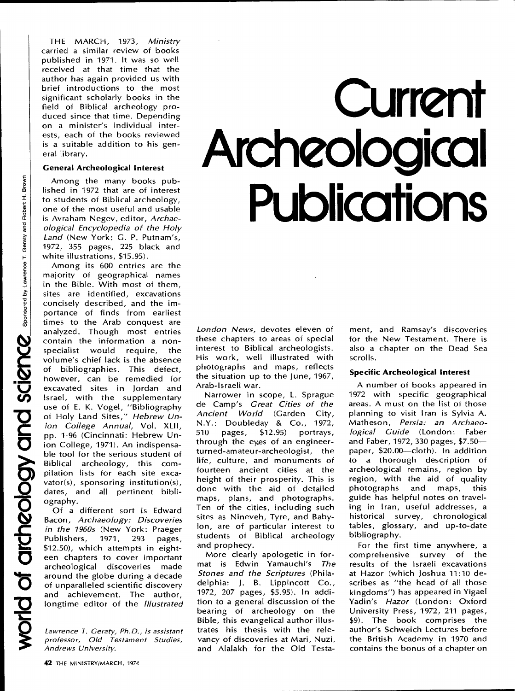THE MARCH, 1973, *Ministry*  carried a similar review of books published in 1971. It was so well received at that time that the author has again provided us with brief introductions to the most significant scholarly books in the field of Biblical archeology produced since that time. Depending on a minister's individual interests, each of the books reviewed is a suitable addition to his general library.

#### **General Archeological Interest**

Among the many books published in 1972 that are of interest to students of Biblical archeology, one of the most useful and usable is Avraham Negev, editor, *Archaeological Encyclopedia of the Holy Land* (New York: G. P. Putnam's, 1972, 355 pages, 225 black and white illustrations, \$15.95).

Among its 600 entries are the majority of geographical names in the Bible. With most of them, sites are identified, excavations concisely described, and the importance of finds from earliest times to the Arab conquest are analyzed. Though most entries • contain the information a nonspecialist would require, the volume's chief lack is the absence of bibliographies. This defect, . however, can be remedied for excavated sites in Jordan and Israel, with the supplementary use of E. K. Vogel, "Bibliography of Holy Land Sites," Hebrew Un-*C ion College Annual,* Vol. **XLII,**  pp. 1-96 (Cincinnati: Hebrew Union College, 1971). An indispensable tool for the serious student of Biblical archeology, this compilation lists for each site excavator(s), sponsoring institution(s), dates, and all pertinent bibli-**52** ography.

Of a different sort is Edward Bacon, *Archaeology: Discoveries in the 1960s* (New York: Praeger<br>Publishers, 1971, 293 pages, Publishers, \$12.50), which attempts in eighteen chapters to cover important archeological discoveries made around the globe during a decade of unparalleled scientific discovery and achievement. The author, longtime editor of the *Illustrated* 

*Lawrence T. Geraty, Ph.D., is assistant professor, Old Testament Studies, Andrews University.* 

# **Current Archeological Publications**

*London News,* devotes eleven of these chapters to areas of special interest to Biblical archeologists. His work, well illustrated with photographs and maps, reflects the situation up to the June, 1967, Arab-Israeli war.

Narrower in scope, L. Sprague de Camp's *Great Cities of the Ancient World* (Garden City, N.Y.: Doubleday & Co., 1972, 510 pages, \$12.95) portrays, through the eyes of an engineerturned-amateur-archeologist, the life, culture, and monuments of fourteen ancient cities at the height of their prosperity. This is done with the aid of detailed maps, plans, and photographs. Ten of the cities, including such sites as Nineveh, Tyre, and Babylon, are of particular interest to students of Biblical archeology and prophecy.

More clearly apologetic in format is Edwin Yamauchi's *The Stones and the Scriptures* (Philadelphia: J. B. Lippincott Co., 1972, 207 pages, \$5.95). In addition to a general discussion of the bearing of archeology on the Bible, this evangelical author illustrates his thesis with the relevancy of discoveries at Mari, Nuzi, and Alalakh for the Old Testament, and Ramsay's discoveries for the New Testament. There is also a chapter on the Dead Sea scrolls.

### **Specific Archeological Interest**

A number of books appeared in 1972 with specific geographical areas. A must on the list of those planning to visit Iran is Sylvia A. Matheson, *Persia: an Archaeological Guide* (London: Faber and Faber, 1972, 330 pages, \$7.50 paper, \$20.00—cloth). In addition to a thorough description of archeological remains, region by region, with the aid of quality photographs and maps, this guide has helpful notes on traveling in Iran, useful addresses, a historical survey, chronological tables, glossary, and up-to-date bibliography.

For the first time anywhere, a comprehensive survey of the results of the Israeli excavations at Hazor (which Joshua 11:10 describes as "the head of all those kingdoms") has appeared in Yigael Yadin's *Hazor* (London: Oxford University Press, 1972, 211 pages, \$9). The book comprises the author's Schweich Lectures before the British Academy in 1970 and contains the bonus of a chapter on